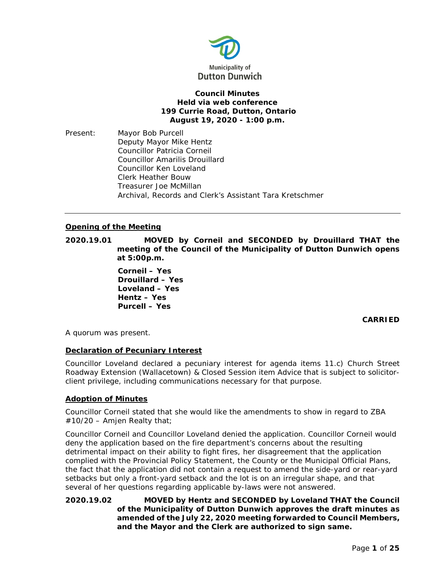

## **Council Minutes Held via web conference 199 Currie Road, Dutton, Ontario August 19, 2020 - 1:00 p.m.**

Present: Mayor Bob Purcell Deputy Mayor Mike Hentz Councillor Patricia Corneil Councillor Amarilis Drouillard Councillor Ken Loveland Clerk Heather Bouw Treasurer Joe McMillan Archival, Records and Clerk's Assistant Tara Kretschmer

## **Opening of the Meeting**

**2020.19.01 MOVED by Corneil and SECONDED by Drouillard THAT the meeting of the Council of the Municipality of Dutton Dunwich opens at 5:00p.m.**

> **Corneil – Yes Drouillard – Yes Loveland – Yes Hentz – Yes Purcell – Yes**

# **CARRIED**

A quorum was present.

## **Declaration of Pecuniary Interest**

Councillor Loveland declared a pecuniary interest for agenda items 11.c) Church Street Roadway Extension (Wallacetown) & Closed Session item Advice that is subject to solicitorclient privilege, including communications necessary for that purpose.

## **Adoption of Minutes**

Councillor Corneil stated that she would like the amendments to show in regard to ZBA  $#10/20$  – Amjen Realty that;

Councillor Corneil and Councillor Loveland denied the application. Councillor Corneil would deny the application based on the fire department's concerns about the resulting detrimental impact on their ability to fight fires, her disagreement that the application complied with the Provincial Policy Statement, the County or the Municipal Official Plans, the fact that the application did not contain a request to amend the side-yard or rear-yard setbacks but only a front-yard setback and the lot is on an irregular shape, and that several of her questions regarding applicable by-laws were not answered.

**2020.19.02 MOVED by Hentz and SECONDED by Loveland THAT the Council of the Municipality of Dutton Dunwich approves the draft minutes as amended of the July 22, 2020 meeting forwarded to Council Members, and the Mayor and the Clerk are authorized to sign same.**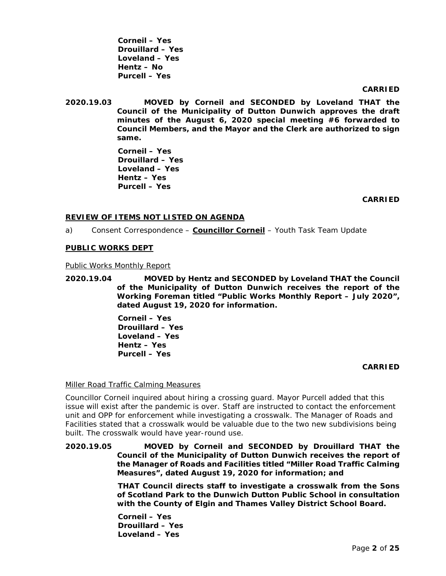**Corneil – Yes Drouillard – Yes Loveland – Yes Hentz – No Purcell – Yes**

## **CARRIED**

**2020.19.03 MOVED by Corneil and SECONDED by Loveland THAT the Council of the Municipality of Dutton Dunwich approves the draft minutes of the August 6, 2020 special meeting #6 forwarded to Council Members, and the Mayor and the Clerk are authorized to sign same.**

> **Corneil – Yes Drouillard – Yes Loveland – Yes Hentz – Yes Purcell – Yes**

## **CARRIED**

## **REVIEW OF ITEMS NOT LISTED ON AGENDA**

a) Consent Correspondence – **Councillor Corneil** – Youth Task Team Update

### **PUBLIC WORKS DEPT**

Public Works Monthly Report

**2020.19.04 MOVED by Hentz and SECONDED by Loveland THAT the Council of the Municipality of Dutton Dunwich receives the report of the Working Foreman titled "Public Works Monthly Report – July 2020", dated August 19, 2020 for information.**

> **Corneil – Yes Drouillard – Yes Loveland – Yes Hentz – Yes Purcell – Yes**

## **CARRIED**

#### Miller Road Traffic Calming Measures

Councillor Corneil inquired about hiring a crossing guard. Mayor Purcell added that this issue will exist after the pandemic is over. Staff are instructed to contact the enforcement unit and OPP for enforcement while investigating a crosswalk. The Manager of Roads and Facilities stated that a crosswalk would be valuable due to the two new subdivisions being built. The crosswalk would have year-round use.

**2020.19.05 MOVED by Corneil and SECONDED by Drouillard THAT the Council of the Municipality of Dutton Dunwich receives the report of the Manager of Roads and Facilities titled "Miller Road Traffic Calming Measures", dated August 19, 2020 for information; and**

> **THAT Council directs staff to investigate a crosswalk from the Sons of Scotland Park to the Dunwich Dutton Public School in consultation with the County of Elgin and Thames Valley District School Board.**

**Corneil – Yes Drouillard – Yes Loveland – Yes**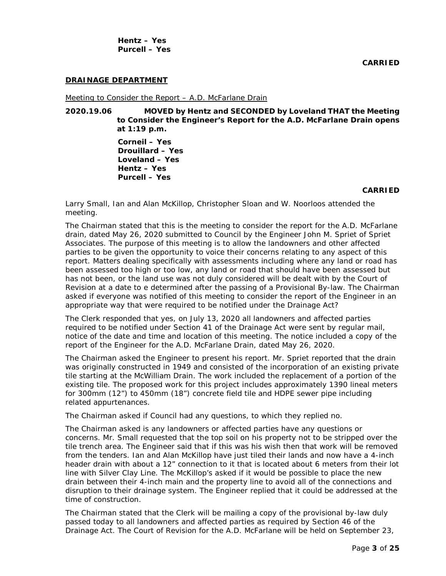**Hentz – Yes Purcell – Yes**

## **DRAINAGE DEPARTMENT**

Meeting to Consider the Report – A.D. McFarlane Drain

**2020.19.06 MOVED by Hentz and SECONDED by Loveland THAT the Meeting to Consider the Engineer's Report for the A.D. McFarlane Drain opens at 1:19 p.m.**

> **Corneil – Yes Drouillard – Yes Loveland – Yes Hentz – Yes Purcell – Yes**

#### **CARRIED**

Larry Small, Ian and Alan McKillop, Christopher Sloan and W. Noorloos attended the meeting.

The Chairman stated that this is the meeting to consider the report for the A.D. McFarlane drain, dated May 26, 2020 submitted to Council by the Engineer John M. Spriet of Spriet Associates. The purpose of this meeting is to allow the landowners and other affected parties to be given the opportunity to voice their concerns relating to any aspect of this report. Matters dealing specifically with assessments including where any land or road has been assessed too high or too low, any land or road that should have been assessed but has not been, or the land use was not duly considered will be dealt with by the Court of Revision at a date to e determined after the passing of a Provisional By-law. The Chairman asked if everyone was notified of this meeting to consider the report of the Engineer in an appropriate way that were required to be notified under the Drainage Act?

The Clerk responded that yes, on July 13, 2020 all landowners and affected parties required to be notified under Section 41 of the Drainage Act were sent by regular mail, notice of the date and time and location of this meeting. The notice included a copy of the report of the Engineer for the A.D. McFarlane Drain, dated May 26, 2020.

The Chairman asked the Engineer to present his report. Mr. Spriet reported that the drain was originally constructed in 1949 and consisted of the incorporation of an existing private tile starting at the McWilliam Drain. The work included the replacement of a portion of the existing tile. The proposed work for this project includes approximately 1390 lineal meters for 300mm (12") to 450mm (18") concrete field tile and HDPE sewer pipe including related appurtenances.

The Chairman asked if Council had any questions, to which they replied no.

The Chairman asked is any landowners or affected parties have any questions or concerns. Mr. Small requested that the top soil on his property not to be stripped over the tile trench area. The Engineer said that if this was his wish then that work will be removed from the tenders. Ian and Alan McKillop have just tiled their lands and now have a 4-inch header drain with about a 12" connection to it that is located about 6 meters from their lot line with Silver Clay Line. The McKillop's asked if it would be possible to place the new drain between their 4-inch main and the property line to avoid all of the connections and disruption to their drainage system. The Engineer replied that it could be addressed at the time of construction.

The Chairman stated that the Clerk will be mailing a copy of the provisional by-law duly passed today to all landowners and affected parties as required by Section 46 of the Drainage Act. The Court of Revision for the A.D. McFarlane will be held on September 23,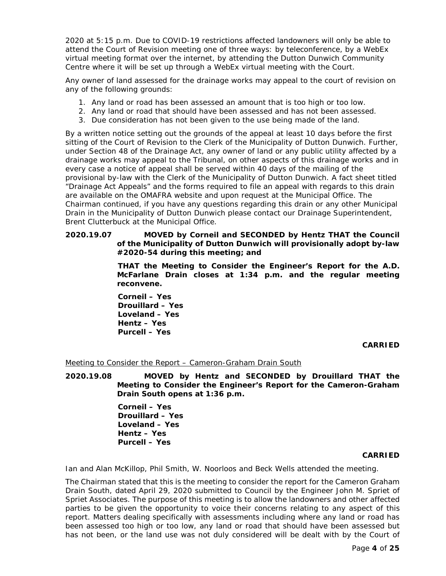2020 at 5:15 p.m. Due to COVID-19 restrictions affected landowners will only be able to attend the Court of Revision meeting one of three ways: by teleconference, by a WebEx virtual meeting format over the internet, by attending the Dutton Dunwich Community Centre where it will be set up through a WebEx virtual meeting with the Court.

Any owner of land assessed for the drainage works may appeal to the court of revision on any of the following grounds:

- 1. Any land or road has been assessed an amount that is too high or too low.
- 2. Any land or road that should have been assessed and has not been assessed.
- 3. Due consideration has not been given to the use being made of the land.

By a written notice setting out the grounds of the appeal at least 10 days before the first sitting of the Court of Revision to the Clerk of the Municipality of Dutton Dunwich. Further, under Section 48 of the Drainage Act, any owner of land or any public utility affected by a drainage works may appeal to the Tribunal, on other aspects of this drainage works and in every case a notice of appeal shall be served within 40 days of the mailing of the provisional by-law with the Clerk of the Municipality of Dutton Dunwich. A fact sheet titled "Drainage Act Appeals" and the forms required to file an appeal with regards to this drain are available on the OMAFRA website and upon request at the Municipal Office. The Chairman continued, if you have any questions regarding this drain or any other Municipal Drain in the Municipality of Dutton Dunwich please contact our Drainage Superintendent, Brent Clutterbuck at the Municipal Office.

## **2020.19.07 MOVED by Corneil and SECONDED by Hentz THAT the Council of the Municipality of Dutton Dunwich will provisionally adopt by-law #2020-54 during this meeting; and**

**THAT the Meeting to Consider the Engineer's Report for the A.D. McFarlane Drain closes at 1:34 p.m. and the regular meeting reconvene.**

**Corneil – Yes Drouillard – Yes Loveland – Yes Hentz – Yes Purcell – Yes**

## **CARRIED**

Meeting to Consider the Report – Cameron-Graham Drain South

**2020.19.08 MOVED by Hentz and SECONDED by Drouillard THAT the Meeting to Consider the Engineer's Report for the Cameron-Graham Drain South opens at 1:36 p.m.**

> **Corneil – Yes Drouillard – Yes Loveland – Yes Hentz – Yes Purcell – Yes**

## **CARRIED**

Ian and Alan McKillop, Phil Smith, W. Noorloos and Beck Wells attended the meeting.

The Chairman stated that this is the meeting to consider the report for the Cameron Graham Drain South, dated April 29, 2020 submitted to Council by the Engineer John M. Spriet of Spriet Associates. The purpose of this meeting is to allow the landowners and other affected parties to be given the opportunity to voice their concerns relating to any aspect of this report. Matters dealing specifically with assessments including where any land or road has been assessed too high or too low, any land or road that should have been assessed but has not been, or the land use was not duly considered will be dealt with by the Court of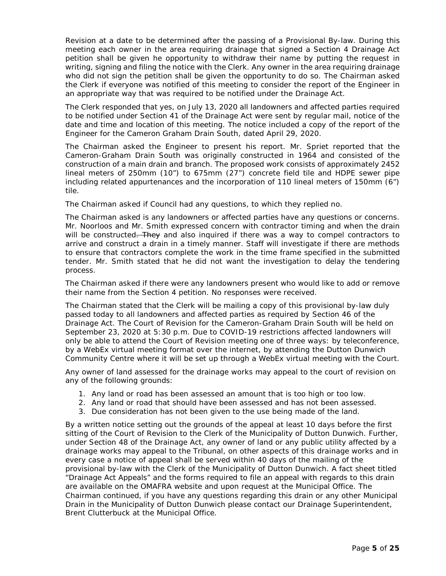Revision at a date to be determined after the passing of a Provisional By-law. During this meeting each owner in the area requiring drainage that signed a Section 4 Drainage Act petition shall be given he opportunity to withdraw their name by putting the request in writing, signing and filing the notice with the Clerk. Any owner in the area requiring drainage who did not sign the petition shall be given the opportunity to do so. The Chairman asked the Clerk if everyone was notified of this meeting to consider the report of the Engineer in an appropriate way that was required to be notified under the Drainage Act.

The Clerk responded that yes, on July 13, 2020 all landowners and affected parties required to be notified under Section 41 of the Drainage Act were sent by regular mail, notice of the date and time and location of this meeting. The notice included a copy of the report of the Engineer for the Cameron Graham Drain South, dated April 29, 2020.

The Chairman asked the Engineer to present his report. Mr. Spriet reported that the Cameron-Graham Drain South was originally constructed in 1964 and consisted of the construction of a main drain and branch. The proposed work consists of approximately 2452 lineal meters of 250mm (10") to 675mm (27") concrete field tile and HDPE sewer pipe including related appurtenances and the incorporation of 110 lineal meters of 150mm (6") tile.

The Chairman asked if Council had any questions, to which they replied no.

The Chairman asked is any landowners or affected parties have any questions or concerns. Mr. Noorloos and Mr. Smith expressed concern with contractor timing and when the drain will be constructed. They and also inquired if there was a way to compel contractors to arrive and construct a drain in a timely manner. Staff will investigate if there are methods to ensure that contractors complete the work in the time frame specified in the submitted tender. Mr. Smith stated that he did not want the investigation to delay the tendering process.

The Chairman asked if there were any landowners present who would like to add or remove their name from the Section 4 petition. No responses were received.

The Chairman stated that the Clerk will be mailing a copy of this provisional by-law duly passed today to all landowners and affected parties as required by Section 46 of the Drainage Act. The Court of Revision for the Cameron-Graham Drain South will be held on September 23, 2020 at 5:30 p.m. Due to COVID-19 restrictions affected landowners will only be able to attend the Court of Revision meeting one of three ways: by teleconference, by a WebEx virtual meeting format over the internet, by attending the Dutton Dunwich Community Centre where it will be set up through a WebEx virtual meeting with the Court.

Any owner of land assessed for the drainage works may appeal to the court of revision on any of the following grounds:

- 1. Any land or road has been assessed an amount that is too high or too low.
- 2. Any land or road that should have been assessed and has not been assessed.
- 3. Due consideration has not been given to the use being made of the land.

By a written notice setting out the grounds of the appeal at least 10 days before the first sitting of the Court of Revision to the Clerk of the Municipality of Dutton Dunwich. Further, under Section 48 of the Drainage Act, any owner of land or any public utility affected by a drainage works may appeal to the Tribunal, on other aspects of this drainage works and in every case a notice of appeal shall be served within 40 days of the mailing of the provisional by-law with the Clerk of the Municipality of Dutton Dunwich. A fact sheet titled "Drainage Act Appeals" and the forms required to file an appeal with regards to this drain are available on the OMAFRA website and upon request at the Municipal Office. The Chairman continued, if you have any questions regarding this drain or any other Municipal Drain in the Municipality of Dutton Dunwich please contact our Drainage Superintendent, Brent Clutterbuck at the Municipal Office.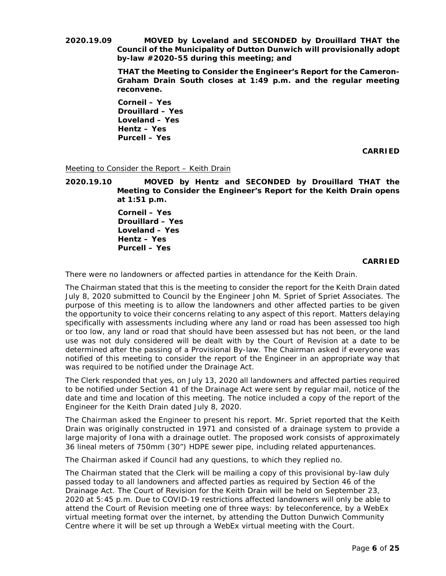**2020.19.09 MOVED by Loveland and SECONDED by Drouillard THAT the Council of the Municipality of Dutton Dunwich will provisionally adopt by-law #2020-55 during this meeting; and**

> **THAT the Meeting to Consider the Engineer's Report for the Cameron-Graham Drain South closes at 1:49 p.m. and the regular meeting reconvene.**

**Corneil – Yes Drouillard – Yes Loveland – Yes Hentz – Yes Purcell – Yes**

**CARRIED**

Meeting to Consider the Report – Keith Drain

**2020.19.10 MOVED by Hentz and SECONDED by Drouillard THAT the Meeting to Consider the Engineer's Report for the Keith Drain opens at 1:51 p.m.**

> **Corneil – Yes Drouillard – Yes Loveland – Yes Hentz – Yes Purcell – Yes**

> > **CARRIED**

There were no landowners or affected parties in attendance for the Keith Drain.

The Chairman stated that this is the meeting to consider the report for the Keith Drain dated July 8, 2020 submitted to Council by the Engineer John M. Spriet of Spriet Associates. The purpose of this meeting is to allow the landowners and other affected parties to be given the opportunity to voice their concerns relating to any aspect of this report. Matters delaying specifically with assessments including where any land or road has been assessed too high or too low, any land or road that should have been assessed but has not been, or the land use was not duly considered will be dealt with by the Court of Revision at a date to be determined after the passing of a Provisional By-law. The Chairman asked if everyone was notified of this meeting to consider the report of the Engineer in an appropriate way that was required to be notified under the Drainage Act.

The Clerk responded that yes, on July 13, 2020 all landowners and affected parties required to be notified under Section 41 of the Drainage Act were sent by regular mail, notice of the date and time and location of this meeting. The notice included a copy of the report of the Engineer for the Keith Drain dated July 8, 2020.

The Chairman asked the Engineer to present his report. Mr. Spriet reported that the Keith Drain was originally constructed in 1971 and consisted of a drainage system to provide a large majority of Iona with a drainage outlet. The proposed work consists of approximately 36 lineal meters of 750mm (30") HDPE sewer pipe, including related appurtenances.

The Chairman asked if Council had any questions, to which they replied no.

The Chairman stated that the Clerk will be mailing a copy of this provisional by-law duly passed today to all landowners and affected parties as required by Section 46 of the Drainage Act. The Court of Revision for the Keith Drain will be held on September 23, 2020 at 5:45 p.m. Due to COVID-19 restrictions affected landowners will only be able to attend the Court of Revision meeting one of three ways: by teleconference, by a WebEx virtual meeting format over the internet, by attending the Dutton Dunwich Community Centre where it will be set up through a WebEx virtual meeting with the Court.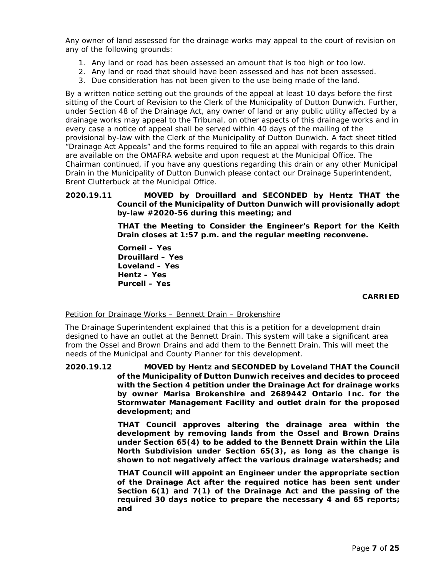Any owner of land assessed for the drainage works may appeal to the court of revision on any of the following grounds:

- 1. Any land or road has been assessed an amount that is too high or too low.
- 2. Any land or road that should have been assessed and has not been assessed.
- 3. Due consideration has not been given to the use being made of the land.

By a written notice setting out the grounds of the appeal at least 10 days before the first sitting of the Court of Revision to the Clerk of the Municipality of Dutton Dunwich. Further, under Section 48 of the Drainage Act, any owner of land or any public utility affected by a drainage works may appeal to the Tribunal, on other aspects of this drainage works and in every case a notice of appeal shall be served within 40 days of the mailing of the provisional by-law with the Clerk of the Municipality of Dutton Dunwich. A fact sheet titled "Drainage Act Appeals" and the forms required to file an appeal with regards to this drain are available on the OMAFRA website and upon request at the Municipal Office. The Chairman continued, if you have any questions regarding this drain or any other Municipal Drain in the Municipality of Dutton Dunwich please contact our Drainage Superintendent, Brent Clutterbuck at the Municipal Office.

## **2020.19.11 MOVED by Drouillard and SECONDED by Hentz THAT the Council of the Municipality of Dutton Dunwich will provisionally adopt by-law #2020-56 during this meeting; and**

**THAT the Meeting to Consider the Engineer's Report for the Keith Drain closes at 1:57 p.m. and the regular meeting reconvene.**

**Corneil – Yes Drouillard – Yes Loveland – Yes Hentz – Yes Purcell – Yes**

## **CARRIED**

Petition for Drainage Works – Bennett Drain – Brokenshire

The Drainage Superintendent explained that this is a petition for a development drain designed to have an outlet at the Bennett Drain. This system will take a significant area from the Ossel and Brown Drains and add them to the Bennett Drain. This will meet the needs of the Municipal and County Planner for this development.

**2020.19.12 MOVED by Hentz and SECONDED by Loveland THAT the Council of the Municipality of Dutton Dunwich receives and decides to proceed with the Section 4 petition under the Drainage Act for drainage works by owner Marisa Brokenshire and 2689442 Ontario Inc. for the Stormwater Management Facility and outlet drain for the proposed development; and**

> **THAT Council approves altering the drainage area within the development by removing lands from the Ossel and Brown Drains under Section 65(4) to be added to the Bennett Drain within the Lila North Subdivision under Section 65(3), as long as the change is shown to not negatively affect the various drainage watersheds; and**

> **THAT Council will appoint an Engineer under the appropriate section of the Drainage Act after the required notice has been sent under Section 6(1) and 7(1) of the Drainage Act and the passing of the required 30 days notice to prepare the necessary 4 and 65 reports; and**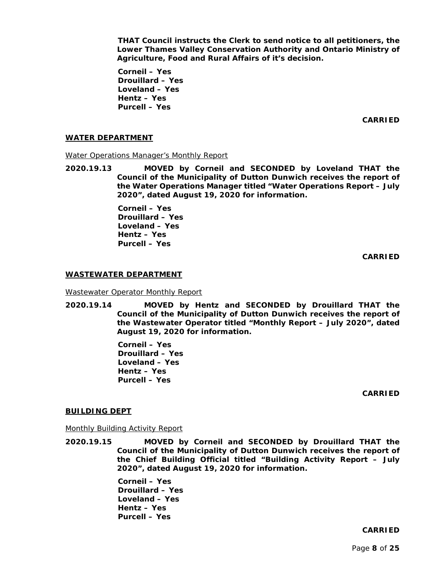**THAT Council instructs the Clerk to send notice to all petitioners, the Lower Thames Valley Conservation Authority and Ontario Ministry of Agriculture, Food and Rural Affairs of it's decision.**

**Corneil – Yes Drouillard – Yes Loveland – Yes Hentz – Yes Purcell – Yes**

**CARRIED**

### **WATER DEPARTMENT**

Water Operations Manager's Monthly Report

**2020.19.13 MOVED by Corneil and SECONDED by Loveland THAT the Council of the Municipality of Dutton Dunwich receives the report of the Water Operations Manager titled "Water Operations Report – July 2020", dated August 19, 2020 for information.**

> **Corneil – Yes Drouillard – Yes Loveland – Yes Hentz – Yes Purcell – Yes**

> > **CARRIED**

#### **WASTEWATER DEPARTMENT**

Wastewater Operator Monthly Report

**2020.19.14 MOVED by Hentz and SECONDED by Drouillard THAT the Council of the Municipality of Dutton Dunwich receives the report of the Wastewater Operator titled "Monthly Report – July 2020", dated August 19, 2020 for information.**

> **Corneil – Yes Drouillard – Yes Loveland – Yes Hentz – Yes Purcell – Yes**

> > **CARRIED**

#### **BUILDING DEPT**

Monthly Building Activity Report

**2020.19.15 MOVED by Corneil and SECONDED by Drouillard THAT the Council of the Municipality of Dutton Dunwich receives the report of the Chief Building Official titled "Building Activity Report – July 2020", dated August 19, 2020 for information.**

> **Corneil – Yes Drouillard – Yes Loveland – Yes Hentz – Yes Purcell – Yes**

#### **CARRIED**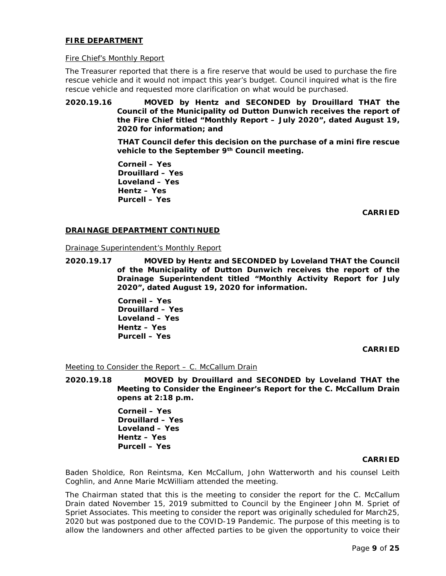## **FIRE DEPARTMENT**

### Fire Chief's Monthly Report

The Treasurer reported that there is a fire reserve that would be used to purchase the fire rescue vehicle and it would not impact this year's budget. Council inquired what is the fire rescue vehicle and requested more clarification on what would be purchased.

## **2020.19.16 MOVED by Hentz and SECONDED by Drouillard THAT the Council of the Municipality od Dutton Dunwich receives the report of the Fire Chief titled "Monthly Report – July 2020", dated August 19, 2020 for information; and**

**THAT Council defer this decision on the purchase of a mini fire rescue vehicle to the September 9th Council meeting.**

**Corneil – Yes Drouillard – Yes Loveland – Yes Hentz – Yes Purcell – Yes**

**CARRIED**

## **DRAINAGE DEPARTMENT CONTINUED**

Drainage Superintendent's Monthly Report

**2020.19.17 MOVED by Hentz and SECONDED by Loveland THAT the Council of the Municipality of Dutton Dunwich receives the report of the Drainage Superintendent titled "Monthly Activity Report for July 2020", dated August 19, 2020 for information.**

> **Corneil – Yes Drouillard – Yes Loveland – Yes Hentz – Yes Purcell – Yes**

## **CARRIED**

### Meeting to Consider the Report - C. McCallum Drain

**2020.19.18 MOVED by Drouillard and SECONDED by Loveland THAT the Meeting to Consider the Engineer's Report for the C. McCallum Drain opens at 2:18 p.m.**

> **Corneil – Yes Drouillard – Yes Loveland – Yes Hentz – Yes Purcell – Yes**

#### **CARRIED**

Baden Sholdice, Ron Reintsma, Ken McCallum, John Watterworth and his counsel Leith Coghlin, and Anne Marie McWilliam attended the meeting.

The Chairman stated that this is the meeting to consider the report for the C. McCallum Drain dated November 15, 2019 submitted to Council by the Engineer John M. Spriet of Spriet Associates. This meeting to consider the report was originally scheduled for March25, 2020 but was postponed due to the COVID-19 Pandemic. The purpose of this meeting is to allow the landowners and other affected parties to be given the opportunity to voice their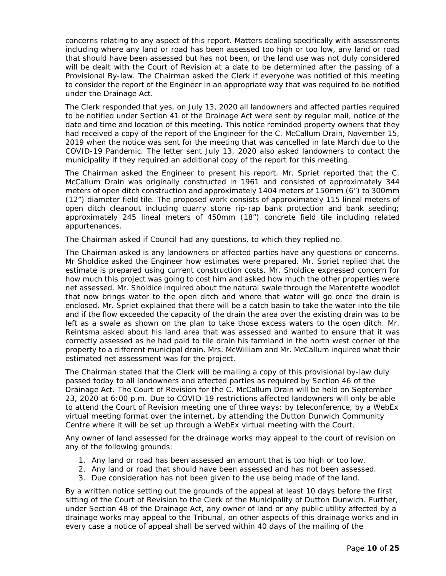concerns relating to any aspect of this report. Matters dealing specifically with assessments including where any land or road has been assessed too high or too low, any land or road that should have been assessed but has not been, or the land use was not duly considered will be dealt with the Court of Revision at a date to be determined after the passing of a Provisional By-law. The Chairman asked the Clerk if everyone was notified of this meeting to consider the report of the Engineer in an appropriate way that was required to be notified under the Drainage Act.

The Clerk responded that yes, on July 13, 2020 all landowners and affected parties required to be notified under Section 41 of the Drainage Act were sent by regular mail, notice of the date and time and location of this meeting. This notice reminded property owners that they had received a copy of the report of the Engineer for the C. McCallum Drain, November 15, 2019 when the notice was sent for the meeting that was cancelled in late March due to the COVID-19 Pandemic. The letter sent July 13, 2020 also asked landowners to contact the municipality if they required an additional copy of the report for this meeting.

The Chairman asked the Engineer to present his report. Mr. Spriet reported that the C. McCallum Drain was originally constructed in 1961 and consisted of approximately 344 meters of open ditch construction and approximately 1404 meters of 150mm (6") to 300mm (12") diameter field tile. The proposed work consists of approximately 115 lineal meters of open ditch cleanout including quarry stone rip-rap bank protection and bank seeding; approximately 245 lineal meters of 450mm (18") concrete field tile including related appurtenances.

The Chairman asked if Council had any questions, to which they replied no.

The Chairman asked is any landowners or affected parties have any questions or concerns. Mr Sholdice asked the Engineer how estimates were prepared. Mr. Spriet replied that the estimate is prepared using current construction costs. Mr. Sholdice expressed concern for how much this project was going to cost him and asked how much the other properties were net assessed. Mr. Sholdice inquired about the natural swale through the Marentette woodlot that now brings water to the open ditch and where that water will go once the drain is enclosed. Mr. Spriet explained that there will be a catch basin to take the water into the tile and if the flow exceeded the capacity of the drain the area over the existing drain was to be left as a swale as shown on the plan to take those excess waters to the open ditch. Mr. Reintsma asked about his land area that was assessed and wanted to ensure that it was correctly assessed as he had paid to tile drain his farmland in the north west corner of the property to a different municipal drain. Mrs. McWilliam and Mr. McCallum inquired what their estimated net assessment was for the project.

The Chairman stated that the Clerk will be mailing a copy of this provisional by-law duly passed today to all landowners and affected parties as required by Section 46 of the Drainage Act. The Court of Revision for the C. McCallum Drain will be held on September 23, 2020 at 6:00 p.m. Due to COVID-19 restrictions affected landowners will only be able to attend the Court of Revision meeting one of three ways: by teleconference, by a WebEx virtual meeting format over the internet, by attending the Dutton Dunwich Community Centre where it will be set up through a WebEx virtual meeting with the Court.

Any owner of land assessed for the drainage works may appeal to the court of revision on any of the following grounds:

- 1. Any land or road has been assessed an amount that is too high or too low.
- 2. Any land or road that should have been assessed and has not been assessed.
- 3. Due consideration has not been given to the use being made of the land.

By a written notice setting out the grounds of the appeal at least 10 days before the first sitting of the Court of Revision to the Clerk of the Municipality of Dutton Dunwich. Further, under Section 48 of the Drainage Act, any owner of land or any public utility affected by a drainage works may appeal to the Tribunal, on other aspects of this drainage works and in every case a notice of appeal shall be served within 40 days of the mailing of the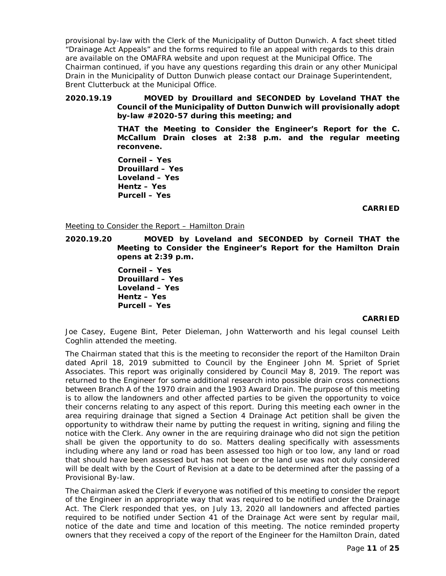provisional by-law with the Clerk of the Municipality of Dutton Dunwich. A fact sheet titled "Drainage Act Appeals" and the forms required to file an appeal with regards to this drain are available on the OMAFRA website and upon request at the Municipal Office. The Chairman continued, if you have any questions regarding this drain or any other Municipal Drain in the Municipality of Dutton Dunwich please contact our Drainage Superintendent, Brent Clutterbuck at the Municipal Office.

## **2020.19.19 MOVED by Drouillard and SECONDED by Loveland THAT the Council of the Municipality of Dutton Dunwich will provisionally adopt by-law #2020-57 during this meeting; and**

**THAT the Meeting to Consider the Engineer's Report for the C. McCallum Drain closes at 2:38 p.m. and the regular meeting reconvene.**

**Corneil – Yes Drouillard – Yes Loveland – Yes Hentz – Yes Purcell – Yes**

**CARRIED**

## Meeting to Consider the Report – Hamilton Drain

**2020.19.20 MOVED by Loveland and SECONDED by Corneil THAT the Meeting to Consider the Engineer's Report for the Hamilton Drain opens at 2:39 p.m.**

> **Corneil – Yes Drouillard – Yes Loveland – Yes Hentz – Yes Purcell – Yes**

## **CARRIED**

Joe Casey, Eugene Bint, Peter Dieleman, John Watterworth and his legal counsel Leith Coghlin attended the meeting.

The Chairman stated that this is the meeting to reconsider the report of the Hamilton Drain dated April 18, 2019 submitted to Council by the Engineer John M. Spriet of Spriet Associates. This report was originally considered by Council May 8, 2019. The report was returned to the Engineer for some additional research into possible drain cross connections between Branch A of the 1970 drain and the 1903 Award Drain. The purpose of this meeting is to allow the landowners and other affected parties to be given the opportunity to voice their concerns relating to any aspect of this report. During this meeting each owner in the area requiring drainage that signed a Section 4 Drainage Act petition shall be given the opportunity to withdraw their name by putting the request in writing, signing and filing the notice with the Clerk. Any owner in the are requiring drainage who did not sign the petition shall be given the opportunity to do so. Matters dealing specifically with assessments including where any land or road has been assessed too high or too low, any land or road that should have been assessed but has not been or the land use was not duly considered will be dealt with by the Court of Revision at a date to be determined after the passing of a Provisional By-law.

The Chairman asked the Clerk if everyone was notified of this meeting to consider the report of the Engineer in an appropriate way that was required to be notified under the Drainage Act. The Clerk responded that yes, on July 13, 2020 all landowners and affected parties required to be notified under Section 41 of the Drainage Act were sent by regular mail, notice of the date and time and location of this meeting. The notice reminded property owners that they received a copy of the report of the Engineer for the Hamilton Drain, dated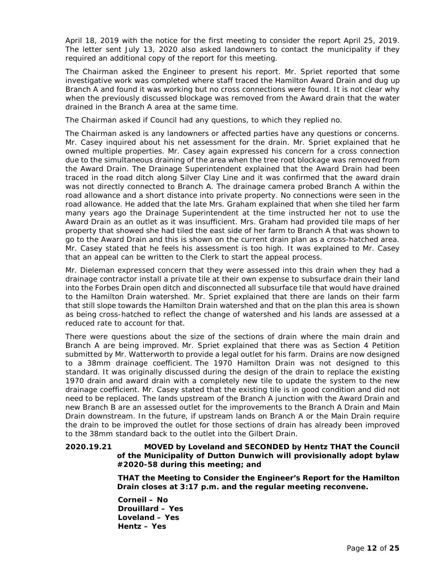April 18, 2019 with the notice for the first meeting to consider the report April 25, 2019. The letter sent July 13, 2020 also asked landowners to contact the municipality if they required an additional copy of the report for this meeting.

The Chairman asked the Engineer to present his report. Mr. Spriet reported that some investigative work was completed where staff traced the Hamilton Award Drain and dug up Branch A and found it was working but no cross connections were found. It is not clear why when the previously discussed blockage was removed from the Award drain that the water drained in the Branch A area at the same time.

The Chairman asked if Council had any questions, to which they replied no.

The Chairman asked is any landowners or affected parties have any questions or concerns. Mr. Casey inquired about his net assessment for the drain. Mr. Spriet explained that he owned multiple properties. Mr. Casey again expressed his concern for a cross connection due to the simultaneous draining of the area when the tree root blockage was removed from the Award Drain. The Drainage Superintendent explained that the Award Drain had been traced in the road ditch along Silver Clay Line and it was confirmed that the award drain was not directly connected to Branch A. The drainage camera probed Branch A within the road allowance and a short distance into private property. No connections were seen in the road allowance. He added that the late Mrs. Graham explained that when she tiled her farm many years ago the Drainage Superintendent at the time instructed her not to use the Award Drain as an outlet as it was insufficient. Mrs. Graham had provided tile maps of her property that showed she had tiled the east side of her farm to Branch A that was shown to go to the Award Drain and this is shown on the current drain plan as a cross-hatched area. Mr. Casey stated that he feels his assessment is too high. It was explained to Mr. Casey that an appeal can be written to the Clerk to start the appeal process.

Mr. Dieleman expressed concern that they were assessed into this drain when they had a drainage contractor install a private tile at their own expense to subsurface drain their land into the Forbes Drain open ditch and disconnected all subsurface tile that would have drained to the Hamilton Drain watershed. Mr. Spriet explained that there are lands on their farm that still slope towards the Hamilton Drain watershed and that on the plan this area is shown as being cross-hatched to reflect the change of watershed and his lands are assessed at a reduced rate to account for that.

There were questions about the size of the sections of drain where the main drain and Branch A are being improved. Mr. Spriet explained that there was as Section 4 Petition submitted by Mr. Watterworth to provide a legal outlet for his farm. Drains are now designed to a 38mm drainage coefficient. The 1970 Hamilton Drain was not designed to this standard. It was originally discussed during the design of the drain to replace the existing 1970 drain and award drain with a completely new tile to update the system to the new drainage coefficient. Mr. Casey stated that the existing tile is in good condition and did not need to be replaced. The lands upstream of the Branch A junction with the Award Drain and new Branch B are an assessed outlet for the improvements to the Branch A Drain and Main Drain downstream. In the future, if upstream lands on Branch A or the Main Drain require the drain to be improved the outlet for those sections of drain has already been improved to the 38mm standard back to the outlet into the Gilbert Drain.

# **2020.19.21 MOVED by Loveland and SECONDED by Hentz THAT the Council of the Municipality of Dutton Dunwich will provisionally adopt bylaw #2020-58 during this meeting; and**

**THAT the Meeting to Consider the Engineer's Report for the Hamilton Drain closes at 3:17 p.m. and the regular meeting reconvene.**

**Corneil – No Drouillard – Yes Loveland – Yes Hentz – Yes**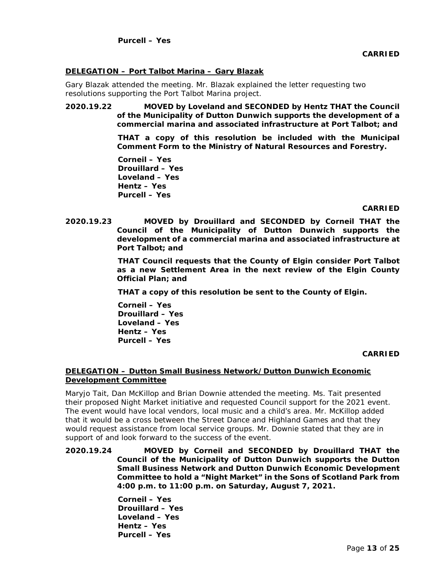## **DELEGATION – Port Talbot Marina – Gary Blazak**

Gary Blazak attended the meeting. Mr. Blazak explained the letter requesting two resolutions supporting the Port Talbot Marina project.

**2020.19.22 MOVED by Loveland and SECONDED by Hentz THAT the Council of the Municipality of Dutton Dunwich supports the development of a commercial marina and associated infrastructure at Port Talbot; and**

> **THAT a copy of this resolution be included with the Municipal Comment Form to the Ministry of Natural Resources and Forestry.**

**Corneil – Yes Drouillard – Yes Loveland – Yes Hentz – Yes Purcell – Yes**

## **CARRIED**

**2020.19.23 MOVED by Drouillard and SECONDED by Corneil THAT the Council of the Municipality of Dutton Dunwich supports the development of a commercial marina and associated infrastructure at Port Talbot; and**

> **THAT Council requests that the County of Elgin consider Port Talbot as a new Settlement Area in the next review of the Elgin County Official Plan; and**

**THAT a copy of this resolution be sent to the County of Elgin.** 

**Corneil – Yes Drouillard – Yes Loveland – Yes Hentz – Yes Purcell – Yes**

**CARRIED**

## **DELEGATION – Dutton Small Business Network/Dutton Dunwich Economic Development Committee**

Maryjo Tait, Dan McKillop and Brian Downie attended the meeting. Ms. Tait presented their proposed Night Market initiative and requested Council support for the 2021 event. The event would have local vendors, local music and a child's area. Mr. McKillop added that it would be a cross between the Street Dance and Highland Games and that they would request assistance from local service groups. Mr. Downie stated that they are in support of and look forward to the success of the event.

**2020.19.24 MOVED by Corneil and SECONDED by Drouillard THAT the Council of the Municipality of Dutton Dunwich supports the Dutton Small Business Network and Dutton Dunwich Economic Development Committee to hold a "Night Market" in the Sons of Scotland Park from 4:00 p.m. to 11:00 p.m. on Saturday, August 7, 2021.** 

> **Corneil – Yes Drouillard – Yes Loveland – Yes Hentz – Yes Purcell – Yes**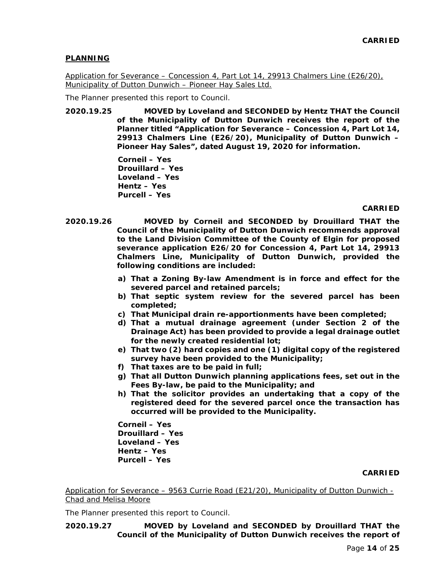## **PLANNING**

Application for Severance – Concession 4, Part Lot 14, 29913 Chalmers Line (E26/20), Municipality of Dutton Dunwich – Pioneer Hay Sales Ltd.

The Planner presented this report to Council.

**2020.19.25 MOVED by Loveland and SECONDED by Hentz THAT the Council of the Municipality of Dutton Dunwich receives the report of the Planner titled "Application for Severance – Concession 4, Part Lot 14, 29913 Chalmers Line (E26/20), Municipality of Dutton Dunwich – Pioneer Hay Sales", dated August 19, 2020 for information.**

> **Corneil – Yes Drouillard – Yes Loveland – Yes Hentz – Yes Purcell – Yes**

## **CARRIED**

- **2020.19.26 MOVED by Corneil and SECONDED by Drouillard THAT the Council of the Municipality of Dutton Dunwich recommends approval to the Land Division Committee of the County of Elgin for proposed severance application E26/20 for Concession 4, Part Lot 14, 29913 Chalmers Line, Municipality of Dutton Dunwich, provided the following conditions are included:**
	- **a) That a Zoning By-law Amendment is in force and effect for the severed parcel and retained parcels;**
	- **b) That septic system review for the severed parcel has been completed;**
	- **c) That Municipal drain re-apportionments have been completed;**
	- **d) That a mutual drainage agreement (under Section 2 of the Drainage Act) has been provided to provide a legal drainage outlet for the newly created residential lot;**
	- **e) That two (2) hard copies and one (1) digital copy of the registered survey have been provided to the Municipality;**
	- **f) That taxes are to be paid in full;**
	- **g) That all Dutton Dunwich planning applications fees, set out in the Fees By-law, be paid to the Municipality; and**
	- **h) That the solicitor provides an undertaking that a copy of the registered deed for the severed parcel once the transaction has occurred will be provided to the Municipality.**

**Corneil – Yes Drouillard – Yes Loveland – Yes Hentz – Yes Purcell – Yes**

## **CARRIED**

Application for Severance – 9563 Currie Road (E21/20), Municipality of Dutton Dunwich - Chad and Melisa Moore

The Planner presented this report to Council.

**2020.19.27 MOVED by Loveland and SECONDED by Drouillard THAT the Council of the Municipality of Dutton Dunwich receives the report of**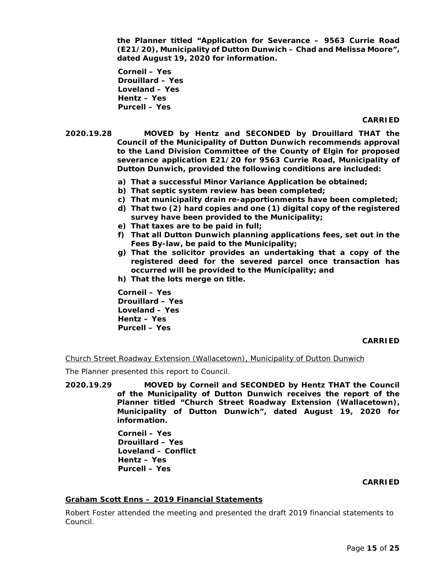**the Planner titled "Application for Severance – 9563 Currie Road (E21/20), Municipality of Dutton Dunwich – Chad and Melissa Moore", dated August 19, 2020 for information.**

**Corneil – Yes Drouillard – Yes Loveland – Yes Hentz – Yes Purcell – Yes**

#### **CARRIED**

- **2020.19.28 MOVED by Hentz and SECONDED by Drouillard THAT the Council of the Municipality of Dutton Dunwich recommends approval to the Land Division Committee of the County of Elgin for proposed severance application E21/20 for 9563 Currie Road, Municipality of Dutton Dunwich, provided the following conditions are included:**
	- **a) That a successful Minor Variance Application be obtained;**
	- **b) That septic system review has been completed;**
	- **c) That municipality drain re-apportionments have been completed;**
	- **d) That two (2) hard copies and one (1) digital copy of the registered survey have been provided to the Municipality;**
	- **e) That taxes are to be paid in full;**
	- **f) That all Dutton Dunwich planning applications fees, set out in the Fees By-law, be paid to the Municipality;**
	- **g) That the solicitor provides an undertaking that a copy of the registered deed for the severed parcel once transaction has occurred will be provided to the Municipality; and**
	- **h) That the lots merge on title.**

**Corneil – Yes Drouillard – Yes Loveland – Yes Hentz – Yes Purcell – Yes**

### **CARRIED**

Church Street Roadway Extension (Wallacetown), Municipality of Dutton Dunwich

The Planner presented this report to Council.

**2020.19.29 MOVED by Corneil and SECONDED by Hentz THAT the Council of the Municipality of Dutton Dunwich receives the report of the Planner titled "Church Street Roadway Extension (Wallacetown), Municipality of Dutton Dunwich", dated August 19, 2020 for information.**

> **Corneil – Yes Drouillard – Yes Loveland – Conflict Hentz – Yes Purcell – Yes**

### **CARRIED**

# **Graham Scott Enns – 2019 Financial Statements**

Robert Foster attended the meeting and presented the draft 2019 financial statements to Council.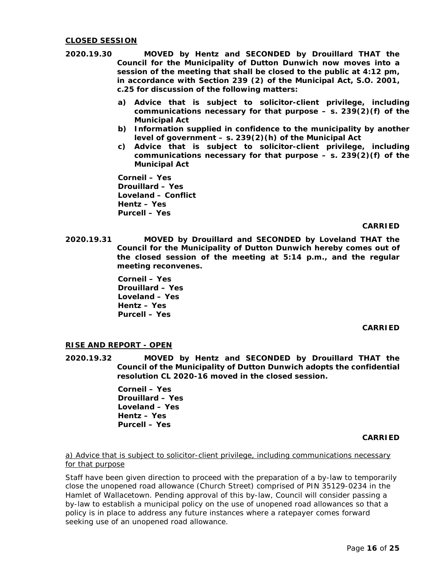## **CLOSED SESSION**

- **2020.19.30 MOVED by Hentz and SECONDED by Drouillard THAT the Council for the Municipality of Dutton Dunwich now moves into a session of the meeting that shall be closed to the public at 4:12 pm, in accordance with Section 239 (2) of the Municipal Act, S.O. 2001, c.25 for discussion of the following matters:**
	- **a) Advice that is subject to solicitor-client privilege, including communications necessary for that purpose – s. 239(2)(f) of the Municipal Act**
	- **b) Information supplied in confidence to the municipality by another level of government – s. 239(2)(h) of the Municipal Act**
	- **c) Advice that is subject to solicitor-client privilege, including communications necessary for that purpose – s. 239(2)(f) of the Municipal Act**

**Corneil – Yes Drouillard – Yes Loveland – Conflict Hentz – Yes Purcell – Yes**

### **CARRIED**

**2020.19.31 MOVED by Drouillard and SECONDED by Loveland THAT the Council for the Municipality of Dutton Dunwich hereby comes out of the closed session of the meeting at 5:14 p.m., and the regular meeting reconvenes.**

> **Corneil – Yes Drouillard – Yes Loveland – Yes Hentz – Yes Purcell – Yes**

#### **CARRIED**

## **RISE AND REPORT - OPEN**

**2020.19.32 MOVED by Hentz and SECONDED by Drouillard THAT the Council of the Municipality of Dutton Dunwich adopts the confidential resolution CL 2020-16 moved in the closed session.**

> **Corneil – Yes Drouillard – Yes Loveland – Yes Hentz – Yes Purcell – Yes**

#### **CARRIED**

a) Advice that is subject to solicitor-client privilege, including communications necessary for that purpose

Staff have been given direction to proceed with the preparation of a by-law to temporarily close the unopened road allowance (Church Street) comprised of PIN 35129-0234 in the Hamlet of Wallacetown. Pending approval of this by-law, Council will consider passing a by-law to establish a municipal policy on the use of unopened road allowances so that a policy is in place to address any future instances where a ratepayer comes forward seeking use of an unopened road allowance.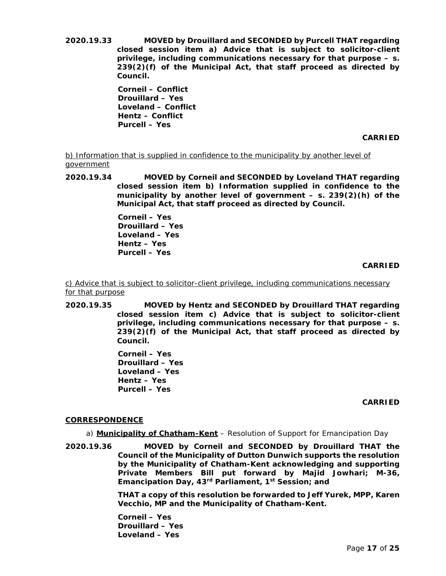**2020.19.33 MOVED by Drouillard and SECONDED by Purcell THAT regarding closed session item a) Advice that is subject to solicitor-client privilege, including communications necessary for that purpose – s. 239(2)(f) of the Municipal Act, that staff proceed as directed by Council.**

> **Corneil – Conflict Drouillard – Yes Loveland – Conflict Hentz – Conflict Purcell – Yes**

> > **CARRIED**

b) Information that is supplied in confidence to the municipality by another level of government

**2020.19.34 MOVED by Corneil and SECONDED by Loveland THAT regarding closed session item b) Information supplied in confidence to the municipality by another level of government – s. 239(2)(h) of the Municipal Act, that staff proceed as directed by Council.**

> **Corneil – Yes Drouillard – Yes Loveland – Yes Hentz – Yes Purcell – Yes**

> > **CARRIED**

c) Advice that is subject to solicitor-client privilege, including communications necessary for that purpose

**2020.19.35 MOVED by Hentz and SECONDED by Drouillard THAT regarding closed session item c) Advice that is subject to solicitor-client privilege, including communications necessary for that purpose – s. 239(2)(f) of the Municipal Act, that staff proceed as directed by Council.**

> **Corneil – Yes Drouillard – Yes Loveland – Yes Hentz – Yes Purcell – Yes**

## **CARRIED**

## **CORRESPONDENCE**

a) **Municipality of Chatham-Kent** – Resolution of Support for Emancipation Day

**2020.19.36 MOVED by Corneil and SECONDED by Drouillard THAT the Council of the Municipality of Dutton Dunwich supports the resolution by the Municipality of Chatham-Kent acknowledging and supporting Private Members Bill put forward by Majid Jowhari; M-36, Emancipation Day, 43rd Parliament, 1st Session; and**

> **THAT a copy of this resolution be forwarded to Jeff Yurek, MPP, Karen Vecchio, MP and the Municipality of Chatham-Kent.**

**Corneil – Yes Drouillard – Yes Loveland – Yes**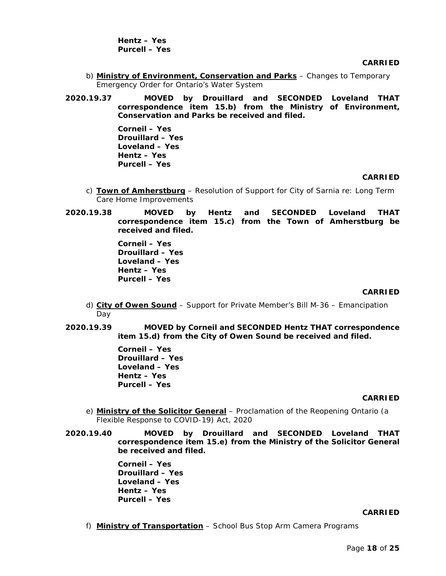**Hentz – Yes Purcell – Yes**

**CARRIED**

- b) **Ministry of Environment, Conservation and Parks** Changes to Temporary Emergency Order for Ontario's Water System
- **2020.19.37 MOVED by Drouillard and SECONDED Loveland THAT correspondence item 15.b) from the Ministry of Environment, Conservation and Parks be received and filed.**

**Corneil – Yes Drouillard – Yes Loveland – Yes Hentz – Yes Purcell – Yes**

#### **CARRIED**

- c) **Town of Amherstburg** Resolution of Support for City of Sarnia re: Long Term Care Home Improvements
- **2020.19.38 MOVED by Hentz and SECONDED Loveland THAT correspondence item 15.c) from the Town of Amherstburg be received and filed.**

**Corneil – Yes Drouillard – Yes Loveland – Yes Hentz – Yes Purcell – Yes**

### **CARRIED**

- d) **City of Owen Sound** Support for Private Member's Bill M-36 Emancipation Day
- **2020.19.39 MOVED by Corneil and SECONDED Hentz THAT correspondence item 15.d) from the City of Owen Sound be received and filed.**

**Corneil – Yes Drouillard – Yes Loveland – Yes Hentz – Yes Purcell – Yes**

## **CARRIED**

- e) **Ministry of the Solicitor General** Proclamation of the Reopening Ontario (a Flexible Response to COVID-19) Act, 2020
- **2020.19.40 MOVED by Drouillard and SECONDED Loveland THAT correspondence item 15.e) from the Ministry of the Solicitor General be received and filed.**

**Corneil – Yes Drouillard – Yes Loveland – Yes Hentz – Yes Purcell – Yes**

#### **CARRIED**

f) **Ministry of Transportation** – School Bus Stop Arm Camera Programs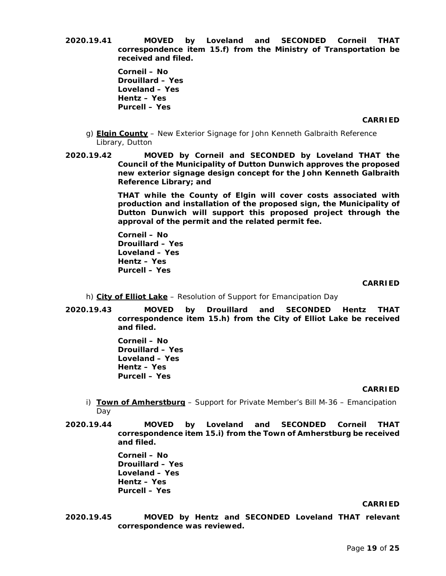**2020.19.41 MOVED by Loveland and SECONDED Corneil THAT correspondence item 15.f) from the Ministry of Transportation be received and filed.**

> **Corneil – No Drouillard – Yes Loveland – Yes Hentz – Yes Purcell – Yes**

> > **CARRIED**

- g) **Elgin County** New Exterior Signage for John Kenneth Galbraith Reference Library, Dutton
- **2020.19.42 MOVED by Corneil and SECONDED by Loveland THAT the Council of the Municipality of Dutton Dunwich approves the proposed new exterior signage design concept for the John Kenneth Galbraith Reference Library; and**

**THAT while the County of Elgin will cover costs associated with production and installation of the proposed sign, the Municipality of Dutton Dunwich will support this proposed project through the approval of the permit and the related permit fee.**

**Corneil – No Drouillard – Yes Loveland – Yes Hentz – Yes Purcell – Yes**

**CARRIED**

- h) **City of Elliot Lake** Resolution of Support for Emancipation Day
- **2020.19.43 MOVED by Drouillard and SECONDED Hentz THAT correspondence item 15.h) from the City of Elliot Lake be received and filed.**

**Corneil – No Drouillard – Yes Loveland – Yes Hentz – Yes Purcell – Yes**

## **CARRIED**

- i) **Town of Amherstburg** Support for Private Member's Bill M-36 Emancipation Day
- **2020.19.44 MOVED by Loveland and SECONDED Corneil THAT correspondence item 15.i) from the Town of Amherstburg be received and filed.**

**Corneil – No Drouillard – Yes Loveland – Yes Hentz – Yes Purcell – Yes**

#### **CARRIED**

**2020.19.45 MOVED by Hentz and SECONDED Loveland THAT relevant correspondence was reviewed.**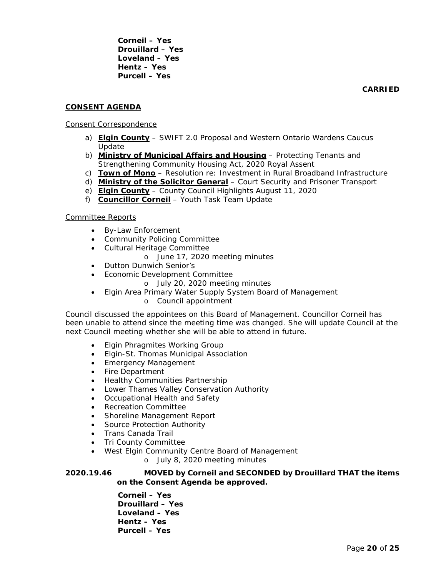**Corneil – Yes Drouillard – Yes Loveland – Yes Hentz – Yes Purcell – Yes**

**CARRIED**

## **CONSENT AGENDA**

## Consent Correspondence

- a) **Elgin County** SWIFT 2.0 Proposal and Western Ontario Wardens Caucus Update
- b) **Ministry of Municipal Affairs and Housing** Protecting Tenants and Strengthening Community Housing Act, 2020 Royal Assent
- c) **Town of Mono** Resolution re: Investment in Rural Broadband Infrastructure
- d) **Ministry of the Solicitor General** Court Security and Prisoner Transport
- e) **Elgin County** County Council Highlights August 11, 2020
- f) **Councillor Corneil** Youth Task Team Update

## Committee Reports

- By-Law Enforcement
- Community Policing Committee
- Cultural Heritage Committee
	- o June 17, 2020 meeting minutes
- Dutton Dunwich Senior's
- Economic Development Committee
	- o July 20, 2020 meeting minutes
- Elgin Area Primary Water Supply System Board of Management
	- o Council appointment

Council discussed the appointees on this Board of Management. Councillor Corneil has been unable to attend since the meeting time was changed. She will update Council at the next Council meeting whether she will be able to attend in future.

- Elgin Phragmites Working Group
- Elgin-St. Thomas Municipal Association
- Emergency Management
- Fire Department
- Healthy Communities Partnership
- Lower Thames Valley Conservation Authority
- Occupational Health and Safety
- Recreation Committee
- Shoreline Management Report
- Source Protection Authority
- Trans Canada Trail
- Tri County Committee
- West Elgin Community Centre Board of Management

o July 8, 2020 meeting minutes

**2020.19.46 MOVED by Corneil and SECONDED by Drouillard THAT the items on the Consent Agenda be approved.**

> **Corneil – Yes Drouillard – Yes Loveland – Yes Hentz – Yes Purcell – Yes**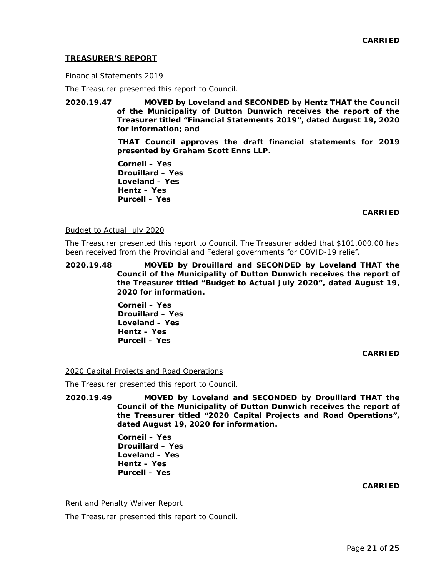## **TREASURER'S REPORT**

### Financial Statements 2019

The Treasurer presented this report to Council.

**2020.19.47 MOVED by Loveland and SECONDED by Hentz THAT the Council of the Municipality of Dutton Dunwich receives the report of the Treasurer titled "Financial Statements 2019", dated August 19, 2020 for information; and**

> **THAT Council approves the draft financial statements for 2019 presented by Graham Scott Enns LLP.**

**Corneil – Yes Drouillard – Yes Loveland – Yes Hentz – Yes Purcell – Yes**

## **CARRIED**

#### Budget to Actual July 2020

The Treasurer presented this report to Council. The Treasurer added that \$101,000.00 has been received from the Provincial and Federal governments for COVID-19 relief.

**2020.19.48 MOVED by Drouillard and SECONDED by Loveland THAT the Council of the Municipality of Dutton Dunwich receives the report of the Treasurer titled "Budget to Actual July 2020", dated August 19, 2020 for information.**

> **Corneil – Yes Drouillard – Yes Loveland – Yes Hentz – Yes Purcell – Yes**

## **CARRIED**

## 2020 Capital Projects and Road Operations

The Treasurer presented this report to Council.

**2020.19.49 MOVED by Loveland and SECONDED by Drouillard THAT the Council of the Municipality of Dutton Dunwich receives the report of the Treasurer titled "2020 Capital Projects and Road Operations", dated August 19, 2020 for information.**

> **Corneil – Yes Drouillard – Yes Loveland – Yes Hentz – Yes Purcell – Yes**

## **CARRIED**

#### **Rent and Penalty Waiver Report**

The Treasurer presented this report to Council.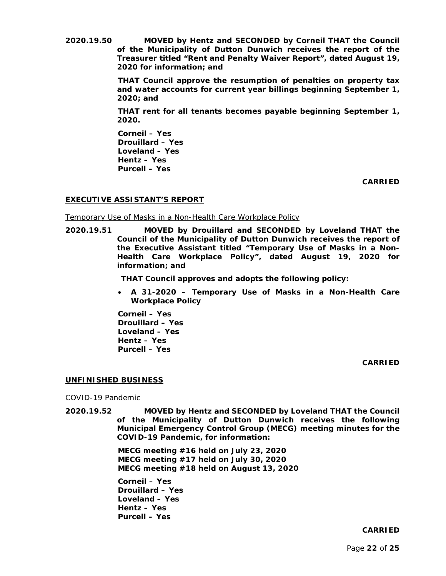**2020.19.50 MOVED by Hentz and SECONDED by Corneil THAT the Council of the Municipality of Dutton Dunwich receives the report of the Treasurer titled "Rent and Penalty Waiver Report", dated August 19, 2020 for information; and**

> **THAT Council approve the resumption of penalties on property tax and water accounts for current year billings beginning September 1, 2020; and**

> **THAT rent for all tenants becomes payable beginning September 1, 2020.**

**Corneil – Yes Drouillard – Yes Loveland – Yes Hentz – Yes Purcell – Yes**

**CARRIED**

## **EXECUTIVE ASSISTANT'S REPORT**

Temporary Use of Masks in a Non-Health Care Workplace Policy

**2020.19.51 MOVED by Drouillard and SECONDED by Loveland THAT the Council of the Municipality of Dutton Dunwich receives the report of the Executive Assistant titled "Temporary Use of Masks in a Non-Health Care Workplace Policy", dated August 19, 2020 for information; and**

**THAT Council approves and adopts the following policy:**

• **A 31-2020 – Temporary Use of Masks in a Non-Health Care Workplace Policy**

**Corneil – Yes Drouillard – Yes Loveland – Yes Hentz – Yes Purcell – Yes**

**CARRIED**

## **UNFINISHED BUSINESS**

COVID-19 Pandemic

**2020.19.52 MOVED by Hentz and SECONDED by Loveland THAT the Council of the Municipality of Dutton Dunwich receives the following Municipal Emergency Control Group (MECG) meeting minutes for the COVID-19 Pandemic, for information:**

> **MECG meeting #16 held on July 23, 2020 MECG meeting #17 held on July 30, 2020 MECG meeting #18 held on August 13, 2020**

**Corneil – Yes Drouillard – Yes Loveland – Yes Hentz – Yes Purcell – Yes**

#### **CARRIED**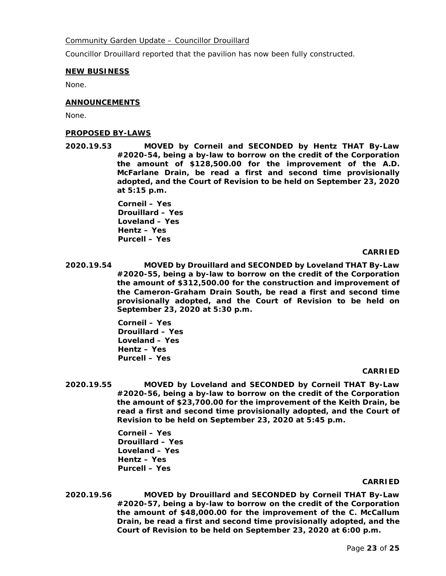## Community Garden Update – Councillor Drouillard

Councillor Drouillard reported that the pavilion has now been fully constructed.

### **NEW BUSINESS**

None.

### **ANNOUNCEMENTS**

None.

### **PROPOSED BY-LAWS**

**2020.19.53 MOVED by Corneil and SECONDED by Hentz THAT By-Law #2020-54, being a by-law to borrow on the credit of the Corporation the amount of \$128,500.00 for the improvement of the A.D. McFarlane Drain, be read a first and second time provisionally adopted, and the Court of Revision to be held on September 23, 2020 at 5:15 p.m.**

> **Corneil – Yes Drouillard – Yes Loveland – Yes Hentz – Yes Purcell – Yes**

### **CARRIED**

**2020.19.54 MOVED by Drouillard and SECONDED by Loveland THAT By-Law #2020-55, being a by-law to borrow on the credit of the Corporation the amount of \$312,500.00 for the construction and improvement of the Cameron-Graham Drain South, be read a first and second time provisionally adopted, and the Court of Revision to be held on September 23, 2020 at 5:30 p.m.**

> **Corneil – Yes Drouillard – Yes Loveland – Yes Hentz – Yes Purcell – Yes**

#### **CARRIED**

**2020.19.55 MOVED by Loveland and SECONDED by Corneil THAT By-Law #2020-56, being a by-law to borrow on the credit of the Corporation the amount of \$23,700.00 for the improvement of the Keith Drain, be read a first and second time provisionally adopted, and the Court of Revision to be held on September 23, 2020 at 5:45 p.m.**

> **Corneil – Yes Drouillard – Yes Loveland – Yes Hentz – Yes Purcell – Yes**

#### **CARRIED**

**2020.19.56 MOVED by Drouillard and SECONDED by Corneil THAT By-Law #2020-57, being a by-law to borrow on the credit of the Corporation the amount of \$48,000.00 for the improvement of the C. McCallum Drain, be read a first and second time provisionally adopted, and the Court of Revision to be held on September 23, 2020 at 6:00 p.m.**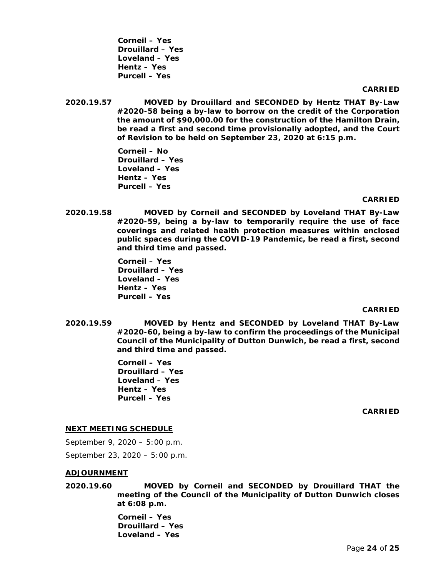**Corneil – Yes Drouillard – Yes Loveland – Yes Hentz – Yes Purcell – Yes**

#### **CARRIED**

**2020.19.57 MOVED by Drouillard and SECONDED by Hentz THAT By-Law #2020-58 being a by-law to borrow on the credit of the Corporation the amount of \$90,000.00 for the construction of the Hamilton Drain, be read a first and second time provisionally adopted, and the Court of Revision to be held on September 23, 2020 at 6:15 p.m.**

> **Corneil – No Drouillard – Yes Loveland – Yes Hentz – Yes Purcell – Yes**

#### **CARRIED**

**2020.19.58 MOVED by Corneil and SECONDED by Loveland THAT By-Law #2020-59, being a by-law to temporarily require the use of face coverings and related health protection measures within enclosed public spaces during the COVID-19 Pandemic, be read a first, second and third time and passed.**

> **Corneil – Yes Drouillard – Yes Loveland – Yes Hentz – Yes Purcell – Yes**

#### **CARRIED**

**2020.19.59 MOVED by Hentz and SECONDED by Loveland THAT By-Law #2020-60, being a by-law to confirm the proceedings of the Municipal Council of the Municipality of Dutton Dunwich, be read a first, second and third time and passed.**

> **Corneil – Yes Drouillard – Yes Loveland – Yes Hentz – Yes Purcell – Yes**

> > **CARRIED**

#### **NEXT MEETING SCHEDULE**

September 9, 2020 – 5:00 p.m.

September 23, 2020 – 5:00 p.m.

#### **ADJOURNMENT**

**2020.19.60 MOVED by Corneil and SECONDED by Drouillard THAT the meeting of the Council of the Municipality of Dutton Dunwich closes at 6:08 p.m.**

> **Corneil – Yes Drouillard – Yes Loveland – Yes**